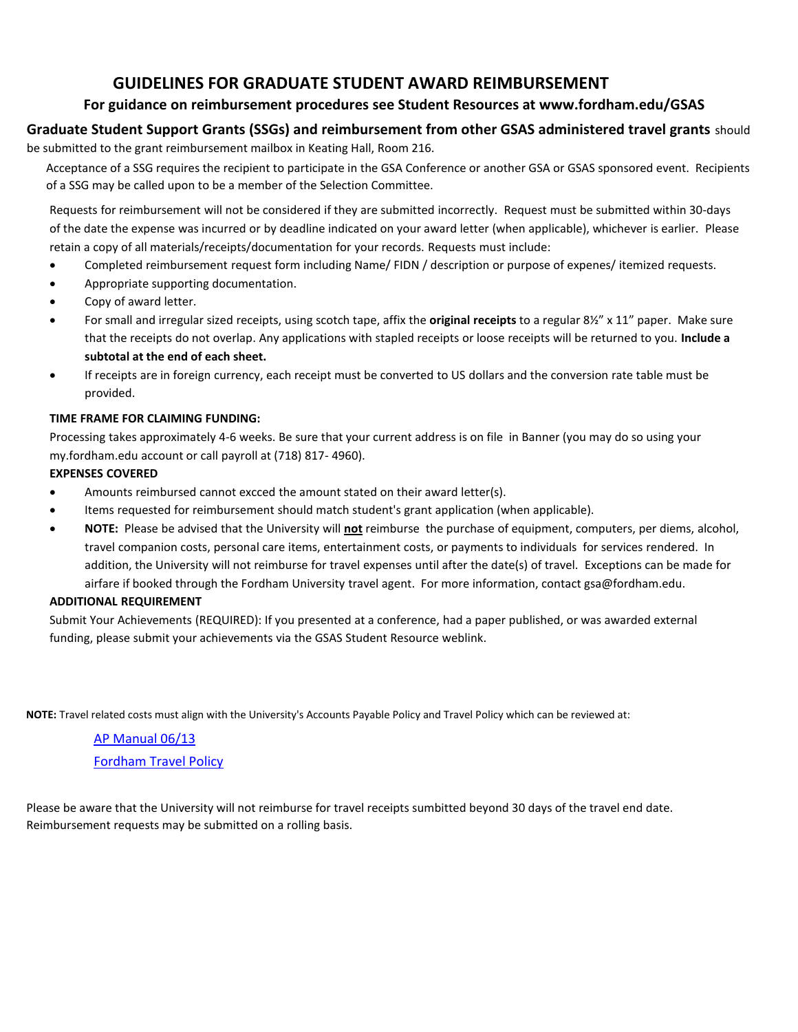# **GUIDELINES FOR GRADUATE STUDENT AWARD REIMBURSEMENT**

## **For guidance on reimbursement procedures see Student Resources at www.fordham.edu/GSAS**

### **Graduate Student Support Grants (SSGs) and reimbursement from other GSAS administered travel grants** should be submitted to the grant reimbursement mailbox in Keating Hall, Room 216.

Acceptance of a SSG requires the recipient to participate in the GSA Conference or another GSA or GSAS sponsored event. Recipients of a SSG may be called upon to be a member of the Selection Committee.

Requests for reimbursement will not be considered if they are submitted incorrectly. Request must be submitted within 30-days of the date the expense was incurred or by deadline indicated on your award letter (when applicable), whichever is earlier. Please retain a copy of all materials/receipts/documentation for your records. Requests must include:

- Completed reimbursement request form including Name/ FIDN / description or purpose of expenes/ itemized requests.
- Appropriate supporting documentation.
- Copy of award letter.
- For small and irregular sized receipts, using scotch tape, affix the **original receipts** to a regular 8½" x 11" paper. Make sure that the receipts do not overlap. Any applications with stapled receipts or loose receipts will be returned to you. **Include a subtotal at the end of each sheet.**
- If receipts are in foreign currency, each receipt must be converted to US dollars and the conversion rate table must be provided.

#### **TIME FRAME FOR CLAIMING FUNDING:**

Processing takes approximately 4-6 weeks. Be sure that your current address is on file in Banner (you may do so using your my.fordham.edu account or call payroll at (718) 817- 4960).

#### **EXPENSES COVERED**

- Amounts reimbursed cannot excced the amount stated on their award letter(s).
- Items requested for reimbursement should match student's grant application (when applicable).
- **NOTE:** Please be advised that the University will **not** reimburse the purchase of equipment, computers, per diems, alcohol, travel companion costs, personal care items, entertainment costs, or payments to individuals for services rendered. In addition, the University will not reimburse for travel expenses until after the date(s) of travel. Exceptions can be made for airfare if booked through the Fordham University travel agent. For more information, contact gsa@fordham.edu.

#### **ADDITIONAL REQUIREMENT**

Submit Your Achievements (REQUIRED): If you presented at a conference, had a paper published, or was awarded external funding, please submit your achievements via the GSAS Student Resource weblink.

**NOTE:** Travel related costs must align with the University's Accounts Payable Policy and Travel Policy which can be reviewed at:

[AP Manual 06/13](https://www.fordham.edu/downloads/file/5141/ap_manual_june_2013) [Fordham Travel Policy](http://legacy.fordham.edu/campus_resources/administrative_offic/finance_department/travel_policy/index.asp)

Please be aware that the University will not reimburse for travel receipts sumbitted beyond 30 days of the travel end date. Reimbursement requests may be submitted on a rolling basis.